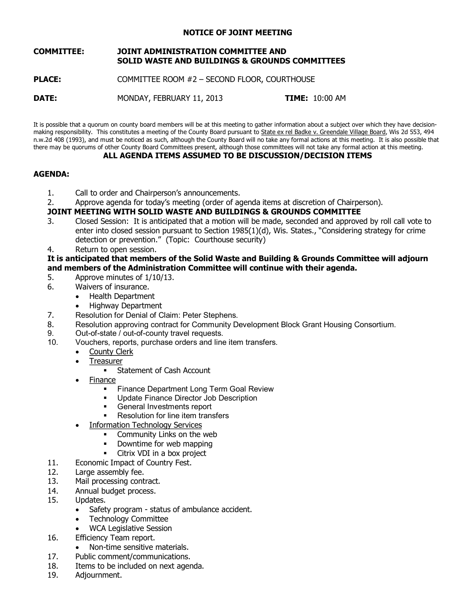### **NOTICE OF JOINT MEETING**

#### **COMMITTEE: JOINT ADMINISTRATION COMMITTEE AND SOLID WASTE AND BUILDINGS & GROUNDS COMMITTEES**

**PLACE:** COMMITTEE ROOM #2 - SECOND FLOOR, COURTHOUSE

**DATE: MONDAY, FEBRUARY 11, 2013 <b>TIME:** 10:00 AM

It is possible that a quorum on county board members will be at this meeting to gather information about a subject over which they have decision making responsibility. This constitutes a meeting of the County Board pursuant to State ex rel Badke v. Greendale Village Board, Wis 2d 553, 494 n.w.2d 408 (1993), and must be noticed as such, although the County Board will no take any formal actions at this meeting. It is also possible that there may be quorums of other County Board Committees present, although those committees will not take any formal action at this meeting. **ALL AGENDA ITEMS ASSUMED TO BE DISCUSSION/DECISION ITEMS**

### **AGENDA:**

- 1. Call to order and Chairperson's announcements.
- 2. Approve agenda for today's meeting (order of agenda items at discretion of Chairperson).

# **JOINT MEETING WITH SOLID WASTE AND BUILDINGS & GROUNDS COMMITTEE**

- 3. Closed Session: It is anticipated that a motion will be made, seconded and approved by roll call vote to enter into closed session pursuant to Section 1985(1)(d), Wis. States., "Considering strategy for crime detection or prevention." (Topic: Courthouse security)
- 4. Return to open session.

## **It is anticipated that members of the Solid Waste and Building & Grounds Committee will adjourn and members of the Administration Committee will continue with their agenda.**

- 5. Approve minutes of 1/10/13.<br>6. Waivers of insurance.
- Waivers of insurance.
	- · Health Department
	- · Highway Department
- 7. Resolution for Denial of Claim: Peter Stephens.
- 8. Resolution approving contract for Community Development Block Grant Housing Consortium.<br>9. Cut-of-state / out-of-county travel requests.
- 9. Out-of-state / out-of-county travel requests.<br>10. Vouchers. reports. purchase orders and line
- Vouchers, reports, purchase orders and line item transfers.
	- County Clerk
	- **Treasurer** 
		- Statement of Cash Account
	- **Finance** 
		- **Finance Department Long Term Goal Review**
		- **Update Finance Director Job Description**<br> **Example Investments report**
		- ß General Investments report
		- Resolution for line item transfers
		- Information Technology Services
			- ß Community Links on the web
			- Downtime for web mapping
			- Citrix VDI in a box project
- 11. Economic Impact of Country Fest.
- 12. Large assembly fee.
- 13. Mail processing contract.
- 14. Annual budget process.
- 15. Updates.
	- Safety program status of ambulance accident.
	- · Technology Committee
	- WCA Legislative Session
- 16. Efficiency Team report.
	- Non-time sensitive materials.
- 17. Public comment/communications.
- 18. Items to be included on next agenda.
- 19. Adjournment.